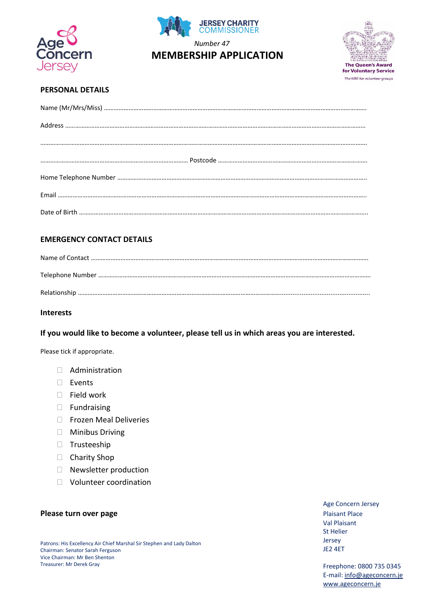





## **PERSONAL DETAILS**

## **EMERGENCY CONTACT DETAILS**

#### **Interests**

#### **If you would like to become a volunteer, please tell us in which areas you are interested.**

Please tick if appropriate.

- $\Box$  Administration
- Events
- $\Box$  Field work
- **Fundraising**
- Frozen Meal Deliveries
- **Minibus Driving**
- **Trusteeship**
- □ Charity Shop
- Newsletter production
- Volunteer coordination

#### **Please turn over page Plaisant Place** Plaisant Place

Age Concern Jersey Val Plaisant St Helier Jersey JE2 4ET

Freephone: 0800 735 0345 E-mail: [info@ageconcern.je](mailto:info@ageconcern.je)  [www.ageconcern.je](http://www.ageconcern.je/)